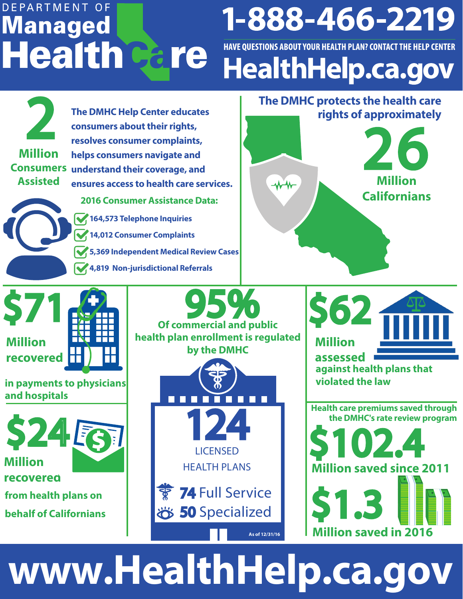## DEPARTMENT OF 1-888-466-2219 **Managed Health Gare** HAVE QUESTIONS ABOUT YOUR HEALTH PLAN? CONTACT THE HELP CENTER **HealthHelp.ca.gov**





# **www.HealthHelp.ca.gov**